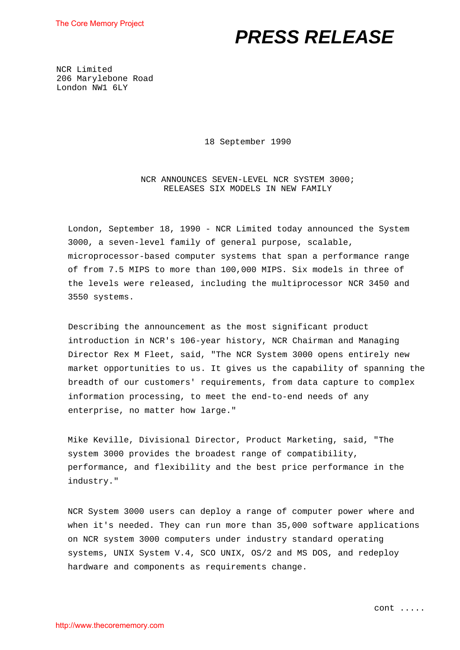# *PRESS RELEASE*

NCR Limited 206 Marylebone Road London NW1 6LY

18 September 1990

NCR ANNOUNCES SEVEN-LEVEL NCR SYSTEM 3000; RELEASES SIX MODELS IN NEW FAMILY

London, September 18, 1990 - NCR Limited today announced the System 3000, a seven-level family of general purpose, scalable, microprocessor-based computer systems that span a performance range of from 7.5 MIPS to more than 100,000 MIPS. Six models in three of the levels were released, including the multiprocessor NCR 3450 and 3550 systems.

Describing the announcement as the most significant product introduction in NCR's 106-year history, NCR Chairman and Managing Director Rex M Fleet, said, "The NCR System 3000 opens entirely new market opportunities to us. It gives us the capability of spanning the breadth of our customers' requirements, from data capture to complex information processing, to meet the end-to-end needs of any enterprise, no matter how large."

Mike Keville, Divisional Director, Product Marketing, said, "The system 3000 provides the broadest range of compatibility, performance, and flexibility and the best price performance in the industry."

NCR System 3000 users can deploy a range of computer power where and when it's needed. They can run more than 35,000 software applications on NCR system 3000 computers under industry standard operating systems, UNIX System V.4, SCO UNIX, OS/2 and MS DOS, and redeploy hardware and components as requirements change.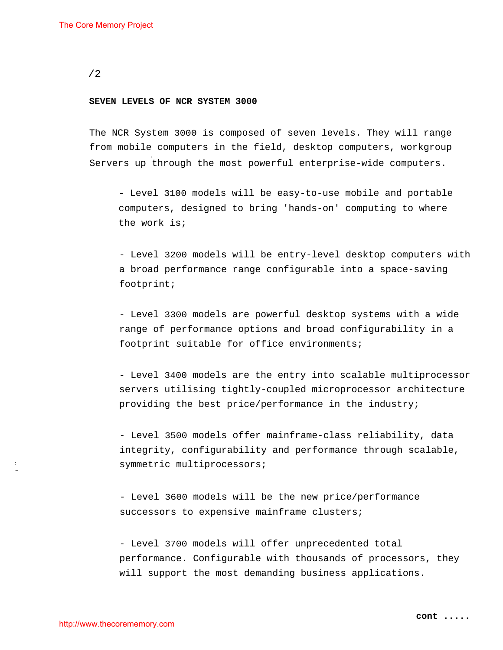#### **SEVEN LEVELS OF NCR SYSTEM 3000**

The NCR System 3000 is composed of seven levels. They will range from mobile computers in the field, desktop computers, workgroup Servers up through the most powerful enterprise-wide computers.

- Level 3100 models will be easy-to-use mobile and portable computers, designed to bring 'hands-on' computing to where the work is;

- Level 3200 models will be entry-level desktop computers with a broad performance range configurable into a space-saving footprint;

- Level 3300 models are powerful desktop systems with a wide range of performance options and broad configurability in a footprint suitable for office environments;

- Level 3400 models are the entry into scalable multiprocessor servers utilising tightly-coupled microprocessor architecture providing the best price/performance in the industry;

- Level 3500 models offer mainframe-class reliability, data integrity, configurability and performance through scalable, symmetric multiprocessors;

- Level 3600 models will be the new price/performance successors to expensive mainframe clusters;

- Level 3700 models will offer unprecedented total performance. Configurable with thousands of processors, they will support the most demanding business applications.

: ~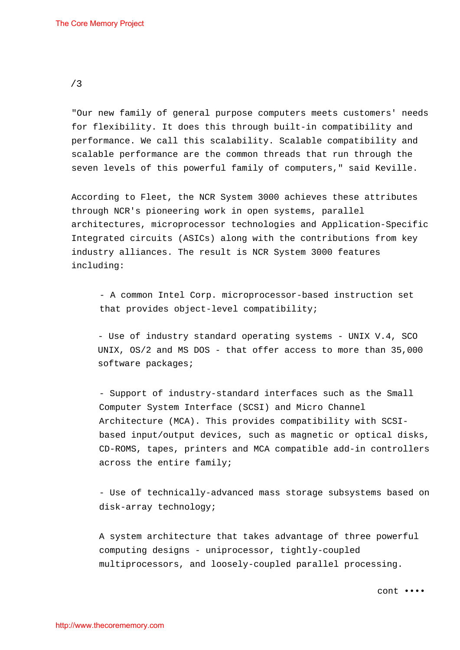"Our new family of general purpose computers meets customers' needs for flexibility. It does this through built-in compatibility and performance. We call this scalability. Scalable compatibility and scalable performance are the common threads that run through the seven levels of this powerful family of computers," said Keville.

According to Fleet, the NCR System 3000 achieves these attributes through NCR's pioneering work in open systems, parallel architectures, microprocessor technologies and Application-Specific Integrated circuits (ASICs) along with the contributions from key industry alliances. The result is NCR System 3000 features including:

- A common Intel Corp. microprocessor-based instruction set that provides object-level compatibility;

- Use of industry standard operating systems - UNIX V.4, SCO UNIX, OS/2 and MS DOS - that offer access to more than 35,000 software packages;

- Support of industry-standard interfaces such as the Small Computer System Interface (SCSI) and Micro Channel Architecture (MCA). This provides compatibility with SCSIbased input/output devices, such as magnetic or optical disks, CD-ROMS, tapes, printers and MCA compatible add-in controllers across the entire family;

- Use of technically-advanced mass storage subsystems based on disk-array technology;

A system architecture that takes advantage of three powerful computing designs - uniprocessor, tightly-coupled multiprocessors, and loosely-coupled parallel processing.

cont ••••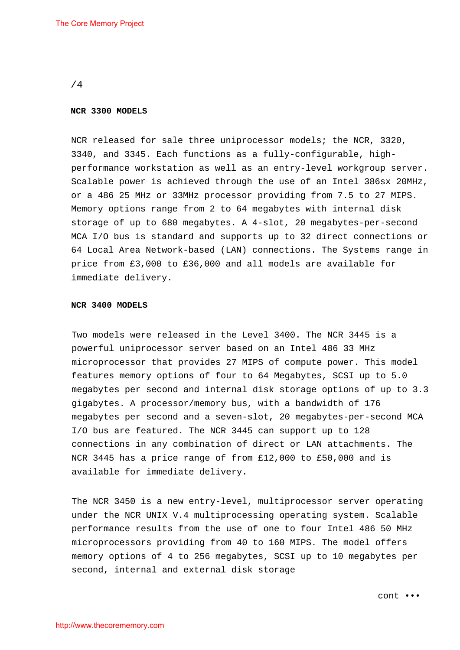#### **NCR 3300 MODELS**

NCR released for sale three uniprocessor models; the NCR, 3320, 3340, and 3345. Each functions as a fully-configurable, highperformance workstation as well as an entry-level workgroup server. Scalable power is achieved through the use of an Intel 386sx 20MHz, or a 486 25 MHz or 33MHz processor providing from 7.5 to 27 MIPS. Memory options range from 2 to 64 megabytes with internal disk storage of up to 680 megabytes. A 4-slot, 20 megabytes-per-second MCA I/O bus is standard and supports up to 32 direct connections or 64 Local Area Network-based (LAN) connections. The Systems range in price from £3,000 to £36,000 and all models are available for immediate delivery.

#### **NCR 3400 MODELS**

Two models were released in the Level 3400. The NCR 3445 is a powerful uniprocessor server based on an Intel 486 33 MHz microprocessor that provides 27 MIPS of compute power. This model features memory options of four to 64 Megabytes, SCSI up to 5.0 megabytes per second and internal disk storage options of up to 3.3 gigabytes. A processor/memory bus, with a bandwidth of 176 megabytes per second and a seven-slot, 20 megabytes-per-second MCA I/O bus are featured. The NCR 3445 can support up to 128 connections in any combination of direct or LAN attachments. The NCR 3445 has a price range of from £12,000 to £50,000 and is available for immediate delivery.

The NCR 3450 is a new entry-level, multiprocessor server operating under the NCR UNIX V.4 multiprocessing operating system. Scalable performance results from the use of one to four Intel 486 50 MHz microprocessors providing from 40 to 160 MIPS. The model offers memory options of 4 to 256 megabytes, SCSI up to 10 megabytes per second, internal and external disk storage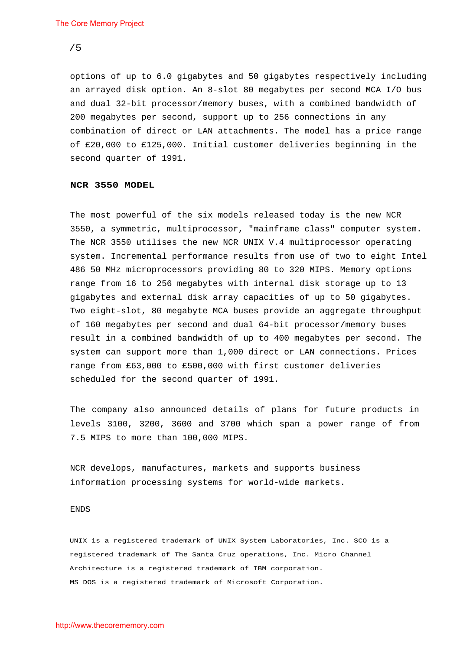options of up to 6.0 gigabytes and 50 gigabytes respectively including an arrayed disk option. An 8-slot 80 megabytes per second MCA I/O bus and dual 32-bit processor/memory buses, with a combined bandwidth of 200 megabytes per second, support up to 256 connections in any combination of direct or LAN attachments. The model has a price range of £20,000 to £125,000. Initial customer deliveries beginning in the second quarter of 1991.

#### **NCR 3550 MODEL**

The most powerful of the six models released today is the new NCR 3550, a symmetric, multiprocessor, "mainframe class" computer system. The NCR 3550 utilises the new NCR UNIX V.4 multiprocessor operating system. Incremental performance results from use of two to eight Intel 486 50 MHz microprocessors providing 80 to 320 MIPS. Memory options range from 16 to 256 megabytes with internal disk storage up to 13 gigabytes and external disk array capacities of up to 50 gigabytes. Two eight-slot, 80 megabyte MCA buses provide an aggregate throughput of 160 megabytes per second and dual 64-bit processor/memory buses result in a combined bandwidth of up to 400 megabytes per second. The system can support more than 1,000 direct or LAN connections. Prices range from £63,000 to £500,000 with first customer deliveries scheduled for the second quarter of 1991.

The company also announced details of plans for future products in levels 3100, 3200, 3600 and 3700 which span a power range of from 7.5 MIPS to more than 100,000 MIPS.

NCR develops, manufactures, markets and supports business information processing systems for world-wide markets.

#### ENDS

UNIX is a registered trademark of UNIX System Laboratories, Inc. SCO is a registered trademark of The Santa Cruz operations, Inc. Micro Channel Architecture is a registered trademark of IBM corporation. MS DOS is a registered trademark of Microsoft Corporation.